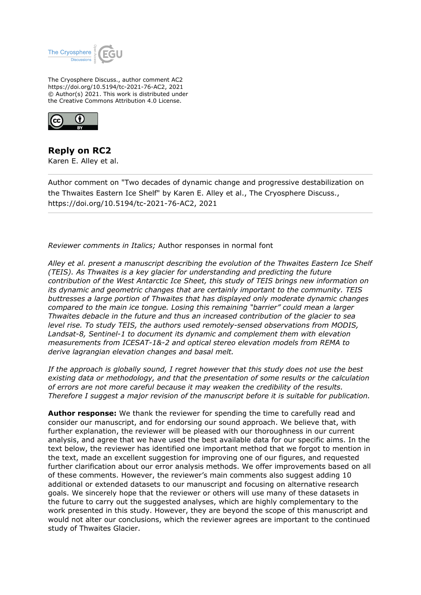

The Cryosphere Discuss., author comment AC2 https://doi.org/10.5194/tc-2021-76-AC2, 2021 © Author(s) 2021. This work is distributed under the Creative Commons Attribution 4.0 License.



**Reply on RC2** Karen E. Alley et al.

Author comment on "Two decades of dynamic change and progressive destabilization on the Thwaites Eastern Ice Shelf" by Karen E. Alley et al., The Cryosphere Discuss., https://doi.org/10.5194/tc-2021-76-AC2, 2021

*Reviewer comments in Italics;* Author responses in normal font

*Alley et al. present a manuscript describing the evolution of the Thwaites Eastern Ice Shelf (TEIS). As Thwaites is a key glacier for understanding and predicting the future contribution of the West Antarctic Ice Sheet, this study of TEIS brings new information on its dynamic and geometric changes that are certainly important to the community. TEIS buttresses a large portion of Thwaites that has displayed only moderate dynamic changes compared to the main ice tongue. Losing this remaining "barrier" could mean a larger Thwaites debacle in the future and thus an increased contribution of the glacier to sea level rise. To study TEIS, the authors used remotely-sensed observations from MODIS, Landsat-8, Sentinel-1 to document its dynamic and complement them with elevation measurements from ICESAT-1&-2 and optical stereo elevation models from REMA to derive lagrangian elevation changes and basal melt.*

*If the approach is globally sound, I regret however that this study does not use the best existing data or methodology, and that the presentation of some results or the calculation of errors are not more careful because it may weaken the credibility of the results. Therefore I suggest a major revision of the manuscript before it is suitable for publication.*

**Author response:** We thank the reviewer for spending the time to carefully read and consider our manuscript, and for endorsing our sound approach. We believe that, with further explanation, the reviewer will be pleased with our thoroughness in our current analysis, and agree that we have used the best available data for our specific aims. In the text below, the reviewer has identified one important method that we forgot to mention in the text, made an excellent suggestion for improving one of our figures, and requested further clarification about our error analysis methods. We offer improvements based on all of these comments. However, the reviewer's main comments also suggest adding 10 additional or extended datasets to our manuscript and focusing on alternative research goals. We sincerely hope that the reviewer or others will use many of these datasets in the future to carry out the suggested analyses, which are highly complementary to the work presented in this study. However, they are beyond the scope of this manuscript and would not alter our conclusions, which the reviewer agrees are important to the continued study of Thwaites Glacier.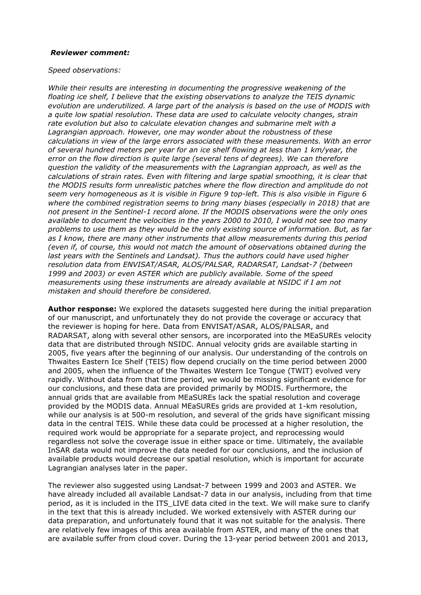#### *Reviewer comment:*

#### *Speed observations:*

*While their results are interesting in documenting the progressive weakening of the floating ice shelf, I believe that the existing observations to analyze the TEIS dynamic evolution are underutilized. A large part of the analysis is based on the use of MODIS with a quite low spatial resolution. These data are used to calculate velocity changes, strain rate evolution but also to calculate elevation changes and submarine melt with a Lagrangian approach. However, one may wonder about the robustness of these calculations in view of the large errors associated with these measurements. With an error of several hundred meters per year for an ice shelf flowing at less than 1 km/year, the error on the flow direction is quite large (several tens of degrees). We can therefore question the validity of the measurements with the Lagrangian approach, as well as the calculations of strain rates. Even with filtering and large spatial smoothing, it is clear that the MODIS results form unrealistic patches where the flow direction and amplitude do not seem very homogeneous as it is visible in Figure 9 top-left. This is also visible in Figure 6 where the combined registration seems to bring many biases (especially in 2018) that are not present in the Sentinel-1 record alone. If the MODIS observations were the only ones available to document the velocities in the years 2000 to 2010, I would not see too many problems to use them as they would be the only existing source of information. But, as far as I know, there are many other instruments that allow measurements during this period (even if, of course, this would not match the amount of observations obtained during the last years with the Sentinels and Landsat). Thus the authors could have used higher resolution data from ENVISAT/ASAR, ALOS/PALSAR, RADARSAT, Landsat-7 (between 1999 and 2003) or even ASTER which are publicly available. Some of the speed measurements using these instruments are already available at NSIDC if I am not mistaken and should therefore be considered.*

**Author response:** We explored the datasets suggested here during the initial preparation of our manuscript, and unfortunately they do not provide the coverage or accuracy that the reviewer is hoping for here. Data from ENVISAT/ASAR, ALOS/PALSAR, and RADARSAT, along with several other sensors, are incorporated into the MEaSUREs velocity data that are distributed through NSIDC. Annual velocity grids are available starting in 2005, five years after the beginning of our analysis. Our understanding of the controls on Thwaites Eastern Ice Shelf (TEIS) flow depend crucially on the time period between 2000 and 2005, when the influence of the Thwaites Western Ice Tongue (TWIT) evolved very rapidly. Without data from that time period, we would be missing significant evidence for our conclusions, and these data are provided primarily by MODIS. Furthermore, the annual grids that are available from MEaSUREs lack the spatial resolution and coverage provided by the MODIS data. Annual MEaSUREs grids are provided at 1-km resolution, while our analysis is at 500-m resolution, and several of the grids have significant missing data in the central TEIS. While these data could be processed at a higher resolution, the required work would be appropriate for a separate project, and reprocessing would regardless not solve the coverage issue in either space or time. Ultimately, the available InSAR data would not improve the data needed for our conclusions, and the inclusion of available products would decrease our spatial resolution, which is important for accurate Lagrangian analyses later in the paper.

The reviewer also suggested using Landsat-7 between 1999 and 2003 and ASTER. We have already included all available Landsat-7 data in our analysis, including from that time period, as it is included in the ITS LIVE data cited in the text. We will make sure to clarify in the text that this is already included. We worked extensively with ASTER during our data preparation, and unfortunately found that it was not suitable for the analysis. There are relatively few images of this area available from ASTER, and many of the ones that are available suffer from cloud cover. During the 13-year period between 2001 and 2013,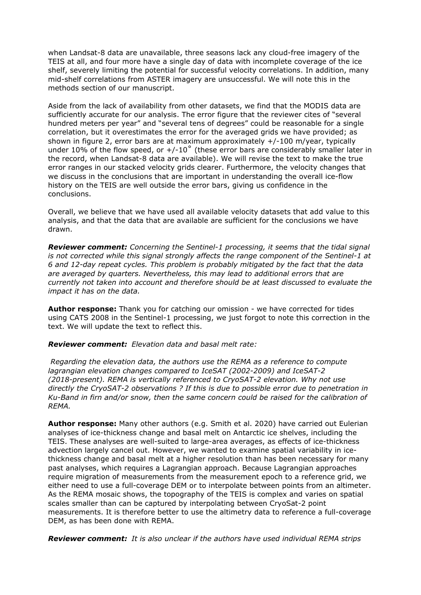when Landsat-8 data are unavailable, three seasons lack any cloud-free imagery of the TEIS at all, and four more have a single day of data with incomplete coverage of the ice shelf, severely limiting the potential for successful velocity correlations. In addition, many mid-shelf correlations from ASTER imagery are unsuccessful. We will note this in the methods section of our manuscript.

Aside from the lack of availability from other datasets, we find that the MODIS data are sufficiently accurate for our analysis. The error figure that the reviewer cites of "several hundred meters per year" and "several tens of degrees" could be reasonable for a single correlation, but it overestimates the error for the averaged grids we have provided; as shown in figure 2, error bars are at maximum approximately +/-100 m/year, typically under 10% of the flow speed, or  $+/-10^{\circ}$  (these error bars are considerably smaller later in the record, when Landsat-8 data are available). We will revise the text to make the true error ranges in our stacked velocity grids clearer. Furthermore, the velocity changes that we discuss in the conclusions that are important in understanding the overall ice-flow history on the TEIS are well outside the error bars, giving us confidence in the conclusions.

Overall, we believe that we have used all available velocity datasets that add value to this analysis, and that the data that are available are sufficient for the conclusions we have drawn.

*Reviewer comment: Concerning the Sentinel-1 processing, it seems that the tidal signal is not corrected while this signal strongly affects the range component of the Sentinel-1 at 6 and 12-day repeat cycles. This problem is probably mitigated by the fact that the data are averaged by quarters. Nevertheless, this may lead to additional errors that are currently not taken into account and therefore should be at least discussed to evaluate the impact it has on the data.*

**Author response:** Thank you for catching our omission - we have corrected for tides using CATS 2008 in the Sentinel-1 processing, we just forgot to note this correction in the text. We will update the text to reflect this.

*Reviewer comment: Elevation data and basal melt rate:*

 *Regarding the elevation data, the authors use the REMA as a reference to compute lagrangian elevation changes compared to IceSAT (2002-2009) and IceSAT-2 (2018-present). REMA is vertically referenced to CryoSAT-2 elevation. Why not use directly the CryoSAT-2 observations ? If this is due to possible error due to penetration in Ku-Band in firn and/or snow, then the same concern could be raised for the calibration of REMA.* 

**Author response:** Many other authors (e.g. Smith et al. 2020) have carried out Eulerian analyses of ice-thickness change and basal melt on Antarctic ice shelves, including the TEIS. These analyses are well-suited to large-area averages, as effects of ice-thickness advection largely cancel out. However, we wanted to examine spatial variability in icethickness change and basal melt at a higher resolution than has been necessary for many past analyses, which requires a Lagrangian approach. Because Lagrangian approaches require migration of measurements from the measurement epoch to a reference grid, we either need to use a full-coverage DEM or to interpolate between points from an altimeter. As the REMA mosaic shows, the topography of the TEIS is complex and varies on spatial scales smaller than can be captured by interpolating between CryoSat-2 point measurements. It is therefore better to use the altimetry data to reference a full-coverage DEM, as has been done with REMA.

*Reviewer comment: It is also unclear if the authors have used individual REMA strips*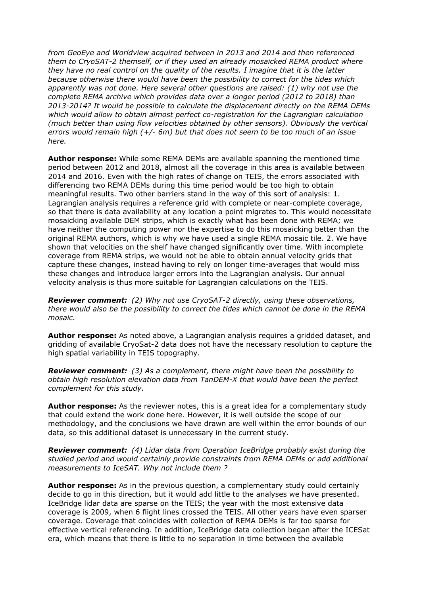*from GeoEye and Worldview acquired between in 2013 and 2014 and then referenced them to CryoSAT-2 themself, or if they used an already mosaicked REMA product where they have no real control on the quality of the results. I imagine that it is the latter because otherwise there would have been the possibility to correct for the tides which apparently was not done. Here several other questions are raised: (1) why not use the complete REMA archive which provides data over a longer period (2012 to 2018) than 2013-2014? It would be possible to calculate the displacement directly on the REMA DEMs which would allow to obtain almost perfect co-registration for the Lagrangian calculation (much better than using flow velocities obtained by other sensors). Obviously the vertical errors would remain high (+/- 6m) but that does not seem to be too much of an issue here.* 

**Author response:** While some REMA DEMs are available spanning the mentioned time period between 2012 and 2018, almost all the coverage in this area is available between 2014 and 2016. Even with the high rates of change on TEIS, the errors associated with differencing two REMA DEMs during this time period would be too high to obtain meaningful results. Two other barriers stand in the way of this sort of analysis: 1. Lagrangian analysis requires a reference grid with complete or near-complete coverage, so that there is data availability at any location a point migrates to. This would necessitate mosaicking available DEM strips, which is exactly what has been done with REMA; we have neither the computing power nor the expertise to do this mosaicking better than the original REMA authors, which is why we have used a single REMA mosaic tile. 2. We have shown that velocities on the shelf have changed significantly over time. With incomplete coverage from REMA strips, we would not be able to obtain annual velocity grids that capture these changes, instead having to rely on longer time-averages that would miss these changes and introduce larger errors into the Lagrangian analysis. Our annual velocity analysis is thus more suitable for Lagrangian calculations on the TEIS.

*Reviewer comment: (2) Why not use CryoSAT-2 directly, using these observations, there would also be the possibility to correct the tides which cannot be done in the REMA mosaic.* 

**Author response:** As noted above, a Lagrangian analysis requires a gridded dataset, and gridding of available CryoSat-2 data does not have the necessary resolution to capture the high spatial variability in TEIS topography.

*Reviewer comment: (3) As a complement, there might have been the possibility to obtain high resolution elevation data from TanDEM-X that would have been the perfect complement for this study.* 

**Author response:** As the reviewer notes, this is a great idea for a complementary study that could extend the work done here. However, it is well outside the scope of our methodology, and the conclusions we have drawn are well within the error bounds of our data, so this additional dataset is unnecessary in the current study.

*Reviewer comment: (4) Lidar data from Operation IceBridge probably exist during the studied period and would certainly provide constraints from REMA DEMs or add additional measurements to IceSAT. Why not include them ?*

**Author response:** As in the previous question, a complementary study could certainly decide to go in this direction, but it would add little to the analyses we have presented. IceBridge lidar data are sparse on the TEIS; the year with the most extensive data coverage is 2009, when 6 flight lines crossed the TEIS. All other years have even sparser coverage. Coverage that coincides with collection of REMA DEMs is far too sparse for effective vertical referencing. In addition, IceBridge data collection began after the ICESat era, which means that there is little to no separation in time between the available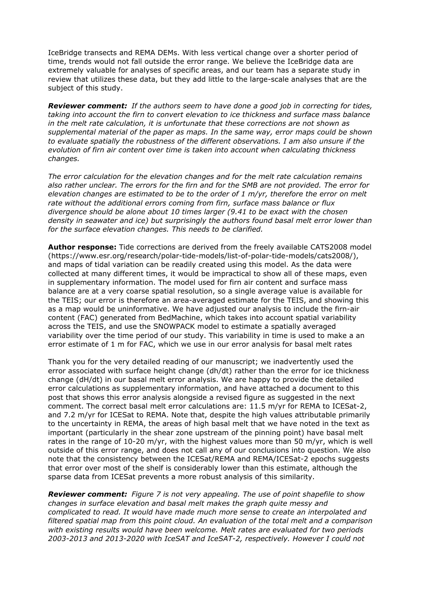IceBridge transects and REMA DEMs. With less vertical change over a shorter period of time, trends would not fall outside the error range. We believe the IceBridge data are extremely valuable for analyses of specific areas, and our team has a separate study in review that utilizes these data, but they add little to the large-scale analyses that are the subject of this study.

*Reviewer comment: If the authors seem to have done a good job in correcting for tides, taking into account the firn to convert elevation to ice thickness and surface mass balance in the melt rate calculation, it is unfortunate that these corrections are not shown as supplemental material of the paper as maps. In the same way, error maps could be shown to evaluate spatially the robustness of the different observations. I am also unsure if the evolution of firn air content over time is taken into account when calculating thickness changes.*

*The error calculation for the elevation changes and for the melt rate calculation remains also rather unclear. The errors for the firn and for the SMB are not provided. The error for elevation changes are estimated to be to the order of 1 m/yr, therefore the error on melt rate without the additional errors coming from firn, surface mass balance or flux divergence should be alone about 10 times larger (9.41 to be exact with the chosen density in seawater and ice) but surprisingly the authors found basal melt error lower than for the surface elevation changes. This needs to be clarified.*

**Author response:** Tide corrections are derived from the freely available CATS2008 model (https://www.esr.org/research/polar-tide-models/list-of-polar-tide-models/cats2008/), and maps of tidal variation can be readily created using this model. As the data were collected at many different times, it would be impractical to show all of these maps, even in supplementary information. The model used for firn air content and surface mass balance are at a very coarse spatial resolution, so a single average value is available for the TEIS; our error is therefore an area-averaged estimate for the TEIS, and showing this as a map would be uninformative. We have adjusted our analysis to include the firn-air content (FAC) generated from BedMachine, which takes into account spatial variability across the TEIS, and use the SNOWPACK model to estimate a spatially averaged variability over the time period of our study. This variability in time is used to make a an error estimate of 1 m for FAC, which we use in our error analysis for basal melt rates

Thank you for the very detailed reading of our manuscript; we inadvertently used the error associated with surface height change (dh/dt) rather than the error for ice thickness change (dH/dt) in our basal melt error analysis. We are happy to provide the detailed error calculations as supplementary information, and have attached a document to this post that shows this error analysis alongside a revised figure as suggested in the next comment. The correct basal melt error calculations are: 11.5 m/yr for REMA to ICESat-2, and 7.2 m/yr for ICESat to REMA. Note that, despite the high values attributable primarily to the uncertainty in REMA, the areas of high basal melt that we have noted in the text as important (particularly in the shear zone upstream of the pinning point) have basal melt rates in the range of 10-20 m/yr, with the highest values more than 50 m/yr, which is well outside of this error range, and does not call any of our conclusions into question. We also note that the consistency between the ICESat/REMA and REMA/ICESat-2 epochs suggests that error over most of the shelf is considerably lower than this estimate, although the sparse data from ICESat prevents a more robust analysis of this similarity.

*Reviewer comment: Figure 7 is not very appealing. The use of point shapefile to show changes in surface elevation and basal melt makes the graph quite messy and complicated to read. It would have made much more sense to create an interpolated and filtered spatial map from this point cloud. An evaluation of the total melt and a comparison with existing results would have been welcome. Melt rates are evaluated for two periods 2003-2013 and 2013-2020 with IceSAT and IceSAT-2, respectively. However I could not*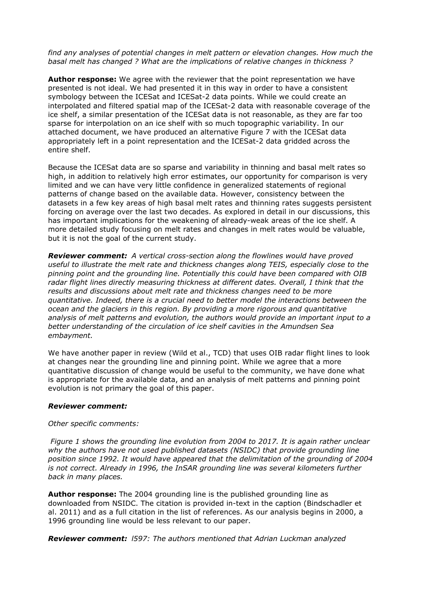## *find any analyses of potential changes in melt pattern or elevation changes. How much the basal melt has changed ? What are the implications of relative changes in thickness ?*

**Author response:** We agree with the reviewer that the point representation we have presented is not ideal. We had presented it in this way in order to have a consistent symbology between the ICESat and ICESat-2 data points. While we could create an interpolated and filtered spatial map of the ICESat-2 data with reasonable coverage of the ice shelf, a similar presentation of the ICESat data is not reasonable, as they are far too sparse for interpolation on an ice shelf with so much topographic variability. In our attached document, we have produced an alternative Figure 7 with the ICESat data appropriately left in a point representation and the ICESat-2 data gridded across the entire shelf.

Because the ICESat data are so sparse and variability in thinning and basal melt rates so high, in addition to relatively high error estimates, our opportunity for comparison is very limited and we can have very little confidence in generalized statements of regional patterns of change based on the available data. However, consistency between the datasets in a few key areas of high basal melt rates and thinning rates suggests persistent forcing on average over the last two decades. As explored in detail in our discussions, this has important implications for the weakening of already-weak areas of the ice shelf. A more detailed study focusing on melt rates and changes in melt rates would be valuable, but it is not the goal of the current study.

*Reviewer comment: A vertical cross-section along the flowlines would have proved useful to illustrate the melt rate and thickness changes along TEIS, especially close to the pinning point and the grounding line. Potentially this could have been compared with OIB radar flight lines directly measuring thickness at different dates. Overall, I think that the results and discussions about melt rate and thickness changes need to be more quantitative. Indeed, there is a crucial need to better model the interactions between the ocean and the glaciers in this region. By providing a more rigorous and quantitative analysis of melt patterns and evolution, the authors would provide an important input to a better understanding of the circulation of ice shelf cavities in the Amundsen Sea embayment.*

We have another paper in review (Wild et al., TCD) that uses OIB radar flight lines to look at changes near the grounding line and pinning point. While we agree that a more quantitative discussion of change would be useful to the community, we have done what is appropriate for the available data, and an analysis of melt patterns and pinning point evolution is not primary the goal of this paper.

## *Reviewer comment:*

# *Other specific comments:*

*Figure 1 shows the grounding line evolution from 2004 to 2017. It is again rather unclear why the authors have not used published datasets (NSIDC) that provide grounding line position since 1992. It would have appeared that the delimitation of the grounding of 2004 is not correct. Already in 1996, the InSAR grounding line was several kilometers further back in many places.*

**Author response:** The 2004 grounding line is the published grounding line as downloaded from NSIDC. The citation is provided in-text in the caption (Bindschadler et al. 2011) and as a full citation in the list of references. As our analysis begins in 2000, a 1996 grounding line would be less relevant to our paper.

*Reviewer comment: l597: The authors mentioned that Adrian Luckman analyzed*